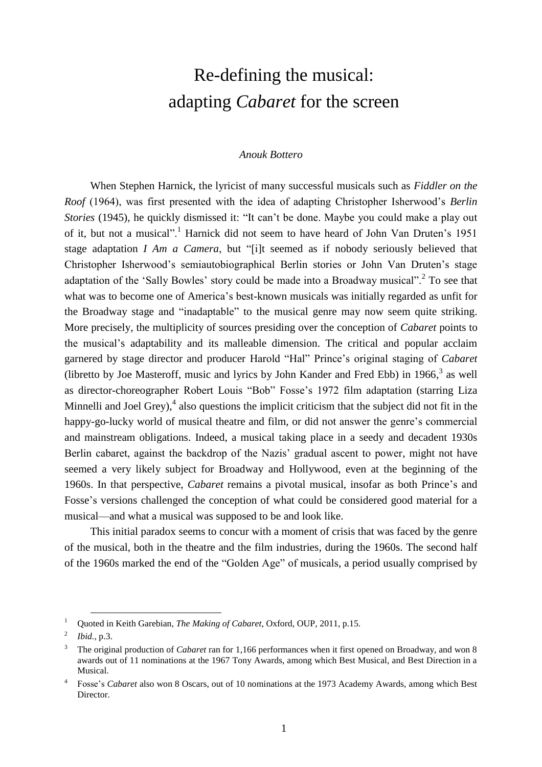# Re-defining the musical: adapting *Cabaret* for the screen

#### *Anouk Bottero*

When Stephen Harnick, the lyricist of many successful musicals such as *Fiddler on the Roof* (1964), was first presented with the idea of adapting Christopher Isherwood's *Berlin Stories* (1945), he quickly dismissed it: "It can't be done. Maybe you could make a play out of it, but not a musical".<sup>1</sup> Harnick did not seem to have heard of John Van Druten's 1951 stage adaptation *I Am a Camera*, but "[i]t seemed as if nobody seriously believed that Christopher Isherwood's semiautobiographical Berlin stories or John Van Druten's stage adaptation of the 'Sally Bowles' story could be made into a Broadway musical".<sup>2</sup> To see that what was to become one of America's best-known musicals was initially regarded as unfit for the Broadway stage and "inadaptable" to the musical genre may now seem quite striking. More precisely, the multiplicity of sources presiding over the conception of *Cabaret* points to the musical's adaptability and its malleable dimension. The critical and popular acclaim garnered by stage director and producer Harold "Hal" Prince's original staging of *Cabaret* (libretto by Joe Masteroff, music and lyrics by John Kander and Fred Ebb) in 1966, 3 as well as director-choreographer Robert Louis "Bob" Fosse's 1972 film adaptation (starring Liza Minnelli and Joel Grey), $\frac{4}{3}$  also questions the implicit criticism that the subject did not fit in the happy-go-lucky world of musical theatre and film, or did not answer the genre's commercial and mainstream obligations. Indeed, a musical taking place in a seedy and decadent 1930s Berlin cabaret, against the backdrop of the Nazis' gradual ascent to power, might not have seemed a very likely subject for Broadway and Hollywood, even at the beginning of the 1960s. In that perspective, *Cabaret* remains a pivotal musical, insofar as both Prince's and Fosse's versions challenged the conception of what could be considered good material for a musical—and what a musical was supposed to be and look like.

This initial paradox seems to concur with a moment of crisis that was faced by the genre of the musical, both in the theatre and the film industries, during the 1960s. The second half of the 1960s marked the end of the "Golden Age" of musicals, a period usually comprised by

<sup>1</sup> Quoted in Keith Garebian, *The Making of Cabaret*, Oxford, OUP, 2011, p.15.

<sup>2</sup> *Ibid.*, p.3.

<sup>3</sup> The original production of *Cabaret* ran for 1,166 performances when it first opened on Broadway, and won 8 awards out of 11 nominations at the 1967 Tony Awards, among which Best Musical, and Best Direction in a Musical.

<sup>4</sup> Fosse's *Cabaret* also won 8 Oscars, out of 10 nominations at the 1973 Academy Awards, among which Best Director.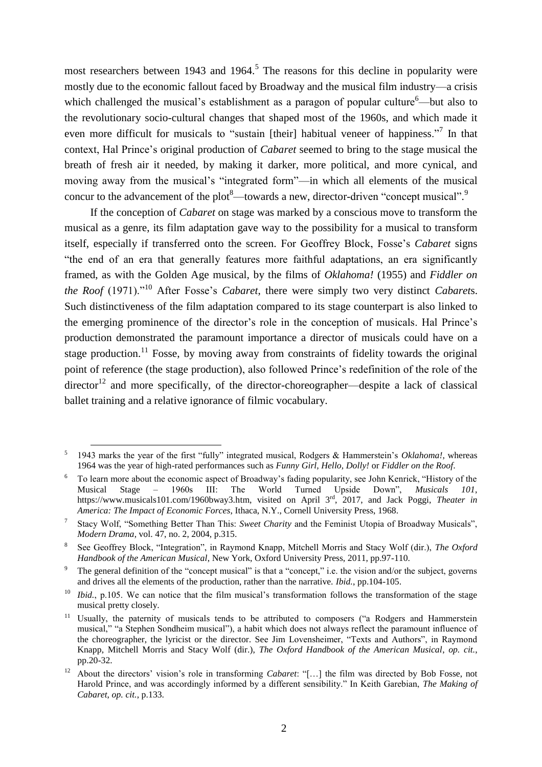most researchers between 1943 and 1964. <sup>5</sup> The reasons for this decline in popularity were mostly due to the economic fallout faced by Broadway and the musical film industry—a crisis which challenged the musical's establishment as a paragon of popular culture $6$ —but also to the revolutionary socio-cultural changes that shaped most of the 1960s, and which made it even more difficult for musicals to "sustain [their] habitual veneer of happiness."<sup>7</sup> In that context, Hal Prince's original production of *Cabaret* seemed to bring to the stage musical the breath of fresh air it needed, by making it darker, more political, and more cynical, and moving away from the musical's "integrated form"—in which all elements of the musical concur to the advancement of the plot<sup>8</sup>—towards a new, director-driven "concept musical".<sup>9</sup>

If the conception of *Cabaret* on stage was marked by a conscious move to transform the musical as a genre, its film adaptation gave way to the possibility for a musical to transform itself, especially if transferred onto the screen. For Geoffrey Block, Fosse's *Cabaret* signs "the end of an era that generally features more faithful adaptations, an era significantly framed, as with the Golden Age musical, by the films of *Oklahoma!* (1955) and *Fiddler on the Roof* (1971)."<sup>10</sup> After Fosse's *Cabaret*, there were simply two very distinct *Cabaret*s. Such distinctiveness of the film adaptation compared to its stage counterpart is also linked to the emerging prominence of the director's role in the conception of musicals. Hal Prince's production demonstrated the paramount importance a director of musicals could have on a stage production.<sup>11</sup> Fosse, by moving away from constraints of fidelity towards the original point of reference (the stage production), also followed Prince's redefinition of the role of the  $\text{director}^{12}$  and more specifically, of the director-choreographer—despite a lack of classical ballet training and a relative ignorance of filmic vocabulary.

 $\overline{a}$ 5 1943 marks the year of the first "fully" integrated musical, Rodgers & Hammerstein's *Oklahoma!*, whereas 1964 was the year of high-rated performances such as *Funny Girl, Hello, Dolly!* or *Fiddler on the Roof*.

<sup>6</sup> To learn more about the economic aspect of Broadway's fading popularity, see John Kenrick, "History of the Musical Stage – 1960s III: The World Turned Upside Down", *Musicals 101*, https://www.musicals101.com/1960bway3.htm, visited on April 3rd, 2017, and Jack Poggi, *Theater in America: The Impact of Economic Forces*, Ithaca, N.Y., Cornell University Press, 1968.

<sup>7</sup> Stacy Wolf, "Something Better Than This: *Sweet Charity* and the Feminist Utopia of Broadway Musicals", *Modern Drama*, vol. 47, no. 2, 2004, p.315.

<sup>8</sup> See Geoffrey Block, "Integration", in Raymond Knapp, Mitchell Morris and Stacy Wolf (dir.), *The Oxford Handbook of the American Musical*, New York, Oxford University Press, 2011, pp.97-110.

<sup>&</sup>lt;sup>9</sup> The general definition of the "concept musical" is that a "concept," i.e. the vision and/or the subject, governs and drives all the elements of the production, rather than the narrative. *Ibid.*, pp.104-105.

<sup>&</sup>lt;sup>10</sup> *Ibid.*, p.105. We can notice that the film musical's transformation follows the transformation of the stage musical pretty closely.

<sup>&</sup>lt;sup>11</sup> Usually, the paternity of musicals tends to be attributed to composers ("a Rodgers and Hammerstein musical," "a Stephen Sondheim musical"), a habit which does not always reflect the paramount influence of the choreographer, the lyricist or the director. See Jim Lovensheimer, "Texts and Authors", in Raymond Knapp, Mitchell Morris and Stacy Wolf (dir.), *The Oxford Handbook of the American Musical*, *op. cit.*, pp.20-32.

<sup>12</sup> About the directors' vision's role in transforming *Cabaret*: "[…] the film was directed by Bob Fosse, not Harold Prince, and was accordingly informed by a different sensibility." In Keith Garebian, *The Making of Cabaret*, *op. cit.*, p.133.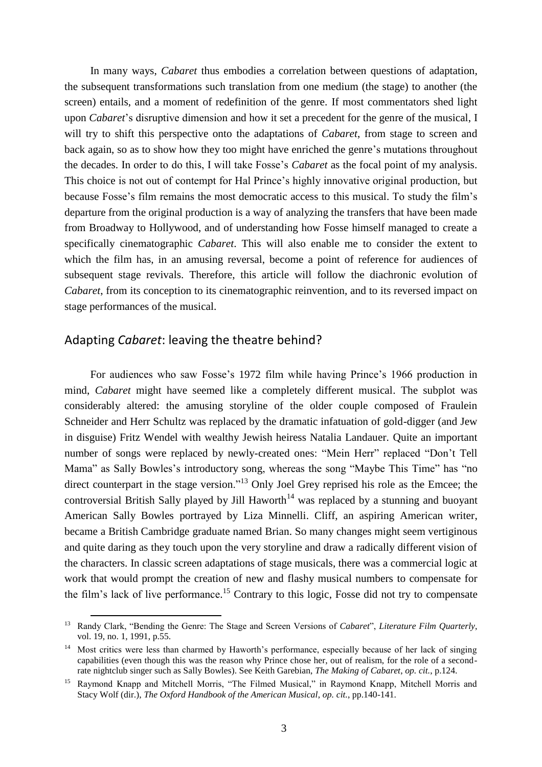In many ways, *Cabaret* thus embodies a correlation between questions of adaptation, the subsequent transformations such translation from one medium (the stage) to another (the screen) entails, and a moment of redefinition of the genre. If most commentators shed light upon *Cabaret*'s disruptive dimension and how it set a precedent for the genre of the musical, I will try to shift this perspective onto the adaptations of *Cabaret*, from stage to screen and back again, so as to show how they too might have enriched the genre's mutations throughout the decades. In order to do this, I will take Fosse's *Cabaret* as the focal point of my analysis. This choice is not out of contempt for Hal Prince's highly innovative original production, but because Fosse's film remains the most democratic access to this musical. To study the film's departure from the original production is a way of analyzing the transfers that have been made from Broadway to Hollywood, and of understanding how Fosse himself managed to create a specifically cinematographic *Cabaret*. This will also enable me to consider the extent to which the film has, in an amusing reversal, become a point of reference for audiences of subsequent stage revivals. Therefore, this article will follow the diachronic evolution of *Cabaret*, from its conception to its cinematographic reinvention, and to its reversed impact on stage performances of the musical.

## Adapting *Cabaret*: leaving the theatre behind?

 $\overline{a}$ 

For audiences who saw Fosse's 1972 film while having Prince's 1966 production in mind, *Cabaret* might have seemed like a completely different musical. The subplot was considerably altered: the amusing storyline of the older couple composed of Fraulein Schneider and Herr Schultz was replaced by the dramatic infatuation of gold-digger (and Jew in disguise) Fritz Wendel with wealthy Jewish heiress Natalia Landauer. Quite an important number of songs were replaced by newly-created ones: "Mein Herr" replaced "Don't Tell Mama" as Sally Bowles's introductory song, whereas the song "Maybe This Time" has "no direct counterpart in the stage version."<sup>13</sup> Only Joel Grey reprised his role as the Emcee; the controversial British Sally played by Jill Haworth<sup>14</sup> was replaced by a stunning and buoyant American Sally Bowles portrayed by Liza Minnelli. Cliff, an aspiring American writer, became a British Cambridge graduate named Brian. So many changes might seem vertiginous and quite daring as they touch upon the very storyline and draw a radically different vision of the characters. In classic screen adaptations of stage musicals, there was a commercial logic at work that would prompt the creation of new and flashy musical numbers to compensate for the film's lack of live performance.<sup>15</sup> Contrary to this logic, Fosse did not try to compensate

<sup>13</sup> Randy Clark, "Bending the Genre: The Stage and Screen Versions of *Cabaret*", *Literature Film Quarterly*, vol. 19, no. 1, 1991, p.55.

<sup>&</sup>lt;sup>14</sup> Most critics were less than charmed by Haworth's performance, especially because of her lack of singing capabilities (even though this was the reason why Prince chose her, out of realism, for the role of a secondrate nightclub singer such as Sally Bowles). See Keith Garebian, *The Making of Cabaret*, *op. cit.*, p.124.

<sup>&</sup>lt;sup>15</sup> Raymond Knapp and Mitchell Morris, "The Filmed Musical," in Raymond Knapp, Mitchell Morris and Stacy Wolf (dir.), *The Oxford Handbook of the American Musical*, *op. cit.*, pp.140-141.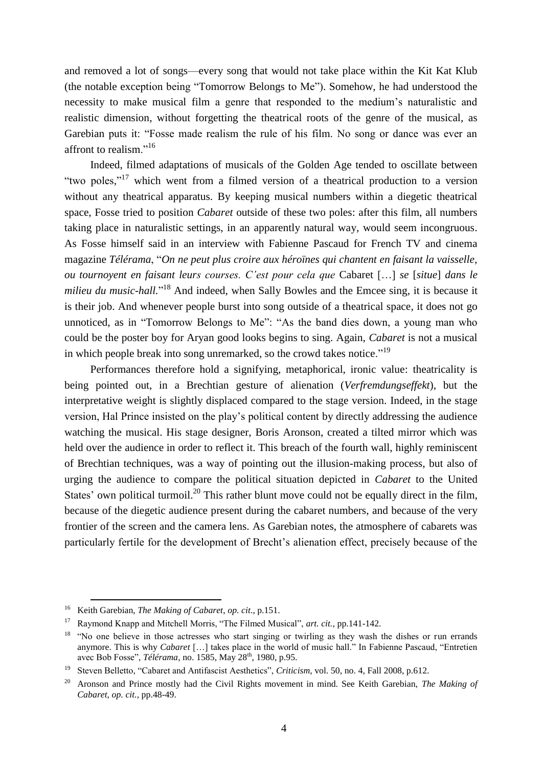and removed a lot of songs—every song that would not take place within the Kit Kat Klub (the notable exception being "Tomorrow Belongs to Me"). Somehow, he had understood the necessity to make musical film a genre that responded to the medium's naturalistic and realistic dimension, without forgetting the theatrical roots of the genre of the musical, as Garebian puts it: "Fosse made realism the rule of his film. No song or dance was ever an affront to realism."<sup>16</sup>

Indeed, filmed adaptations of musicals of the Golden Age tended to oscillate between "two poles,"<sup>17</sup> which went from a filmed version of a theatrical production to a version without any theatrical apparatus. By keeping musical numbers within a diegetic theatrical space, Fosse tried to position *Cabaret* outside of these two poles: after this film, all numbers taking place in naturalistic settings, in an apparently natural way, would seem incongruous. As Fosse himself said in an interview with Fabienne Pascaud for French TV and cinema magazine *Télérama*, "*On ne peut plus croire aux héroïnes qui chantent en faisant la vaisselle, ou tournoyent en faisant leurs courses. C'est pour cela que* Cabaret […] *se* [*situe*] *dans le*  milieu du music-hall."<sup>18</sup> And indeed, when Sally Bowles and the Emcee sing, it is because it is their job. And whenever people burst into song outside of a theatrical space, it does not go unnoticed, as in "Tomorrow Belongs to Me": "As the band dies down, a young man who could be the poster boy for Aryan good looks begins to sing. Again, *Cabaret* is not a musical in which people break into song unremarked, so the crowd takes notice."<sup>19</sup>

Performances therefore hold a signifying, metaphorical, ironic value: theatricality is being pointed out, in a Brechtian gesture of alienation (*Verfremdungseffekt*), but the interpretative weight is slightly displaced compared to the stage version. Indeed, in the stage version, Hal Prince insisted on the play's political content by directly addressing the audience watching the musical. His stage designer, Boris Aronson, created a tilted mirror which was held over the audience in order to reflect it. This breach of the fourth wall, highly reminiscent of Brechtian techniques, was a way of pointing out the illusion-making process, but also of urging the audience to compare the political situation depicted in *Cabaret* to the United States' own political turmoil.<sup>20</sup> This rather blunt move could not be equally direct in the film, because of the diegetic audience present during the cabaret numbers, and because of the very frontier of the screen and the camera lens. As Garebian notes, the atmosphere of cabarets was particularly fertile for the development of Brecht's alienation effect, precisely because of the

<sup>16</sup> Keith Garebian, *The Making of Cabaret*, *op. cit*., p.151.

<sup>17</sup> Raymond Knapp and Mitchell Morris, "The Filmed Musical", *art. cit.*, pp.141-142.

<sup>&</sup>lt;sup>18</sup> "No one believe in those actresses who start singing or twirling as they wash the dishes or run errands anymore. This is why *Cabaret* […] takes place in the world of music hall." In Fabienne Pascaud, "Entretien avec Bob Fosse", *Télérama*, no. 1585, May 28<sup>th</sup>, 1980, p.95.

<sup>&</sup>lt;sup>19</sup> Steven Belletto, "Cabaret and Antifascist Aesthetics", *Criticism*, vol. 50, no. 4, Fall 2008, p.612.

<sup>20</sup> Aronson and Prince mostly had the Civil Rights movement in mind. See Keith Garebian, *The Making of Cabaret*, *op. cit.*, pp.48-49.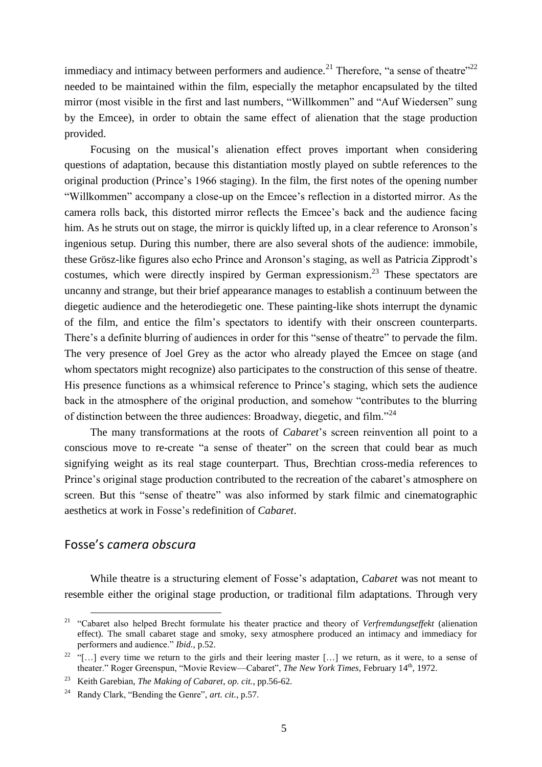immediacy and intimacy between performers and audience.<sup>21</sup> Therefore, "a sense of theatre"<sup>22</sup> needed to be maintained within the film, especially the metaphor encapsulated by the tilted mirror (most visible in the first and last numbers, "Willkommen" and "Auf Wiedersen" sung by the Emcee), in order to obtain the same effect of alienation that the stage production provided.

Focusing on the musical's alienation effect proves important when considering questions of adaptation, because this distantiation mostly played on subtle references to the original production (Prince's 1966 staging). In the film, the first notes of the opening number "Willkommen" accompany a close-up on the Emcee's reflection in a distorted mirror. As the camera rolls back, this distorted mirror reflects the Emcee's back and the audience facing him. As he struts out on stage, the mirror is quickly lifted up, in a clear reference to Aronson's ingenious setup*.* During this number, there are also several shots of the audience: immobile, these Grösz-like figures also echo Prince and Aronson's staging, as well as Patricia Zipprodt's costumes, which were directly inspired by German expressionism.<sup>23</sup> These spectators are uncanny and strange, but their brief appearance manages to establish a continuum between the diegetic audience and the heterodiegetic one. These painting-like shots interrupt the dynamic of the film, and entice the film's spectators to identify with their onscreen counterparts. There's a definite blurring of audiences in order for this "sense of theatre" to pervade the film. The very presence of Joel Grey as the actor who already played the Emcee on stage (and whom spectators might recognize) also participates to the construction of this sense of theatre. His presence functions as a whimsical reference to Prince's staging, which sets the audience back in the atmosphere of the original production, and somehow "contributes to the blurring of distinction between the three audiences: Broadway, diegetic, and film."<sup>24</sup>

The many transformations at the roots of *Cabaret*'s screen reinvention all point to a conscious move to re-create "a sense of theater" on the screen that could bear as much signifying weight as its real stage counterpart. Thus, Brechtian cross-media references to Prince's original stage production contributed to the recreation of the cabaret's atmosphere on screen. But this "sense of theatre" was also informed by stark filmic and cinematographic aesthetics at work in Fosse's redefinition of *Cabaret*.

# Fosse's *camera obscura*

 $\overline{a}$ 

While theatre is a structuring element of Fosse's adaptation, *Cabaret* was not meant to resemble either the original stage production, or traditional film adaptations. Through very

<sup>21</sup> "Cabaret also helped Brecht formulate his theater practice and theory of *Verfremdungseffekt* (alienation effect). The small cabaret stage and smoky, sexy atmosphere produced an intimacy and immediacy for performers and audience." *Ibid.*, p.52.

<sup>&</sup>lt;sup>22</sup> "[...] every time we return to the girls and their leering master [...] we return, as it were, to a sense of theater." Roger Greenspun, "Movie Review—Cabaret", *The New York Times*, February 14<sup>th</sup>, 1972.

<sup>23</sup> Keith Garebian, *The Making of Cabaret*, *op. cit.*, pp.56-62.

<sup>24</sup> Randy Clark, "Bending the Genre", *art. cit.*, p.57.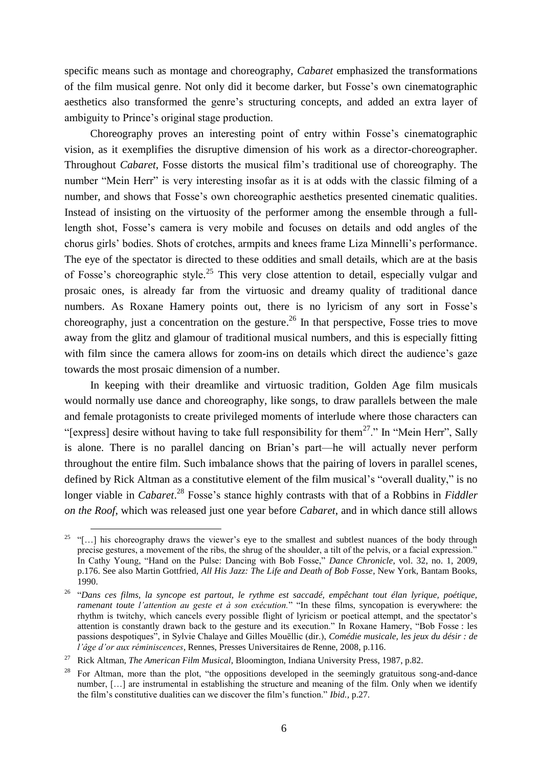specific means such as montage and choreography, *Cabaret* emphasized the transformations of the film musical genre. Not only did it become darker, but Fosse's own cinematographic aesthetics also transformed the genre's structuring concepts, and added an extra layer of ambiguity to Prince's original stage production.

Choreography proves an interesting point of entry within Fosse's cinematographic vision, as it exemplifies the disruptive dimension of his work as a director-choreographer. Throughout *Cabaret*, Fosse distorts the musical film's traditional use of choreography. The number "Mein Herr" is very interesting insofar as it is at odds with the classic filming of a number, and shows that Fosse's own choreographic aesthetics presented cinematic qualities. Instead of insisting on the virtuosity of the performer among the ensemble through a fulllength shot, Fosse's camera is very mobile and focuses on details and odd angles of the chorus girls' bodies. Shots of crotches, armpits and knees frame Liza Minnelli's performance. The eye of the spectator is directed to these oddities and small details, which are at the basis of Fosse's choreographic style.<sup>25</sup> This very close attention to detail, especially vulgar and prosaic ones, is already far from the virtuosic and dreamy quality of traditional dance numbers. As Roxane Hamery points out, there is no lyricism of any sort in Fosse's choreography, just a concentration on the gesture.<sup>26</sup> In that perspective, Fosse tries to move away from the glitz and glamour of traditional musical numbers, and this is especially fitting with film since the camera allows for zoom-ins on details which direct the audience's gaze towards the most prosaic dimension of a number.

In keeping with their dreamlike and virtuosic tradition, Golden Age film musicals would normally use dance and choreography, like songs, to draw parallels between the male and female protagonists to create privileged moments of interlude where those characters can "[express] desire without having to take full responsibility for them<sup>27</sup>." In "Mein Herr", Sally is alone. There is no parallel dancing on Brian's part—he will actually never perform throughout the entire film. Such imbalance shows that the pairing of lovers in parallel scenes, defined by Rick Altman as a constitutive element of the film musical's "overall duality," is no longer viable in *Cabaret*. <sup>28</sup> Fosse's stance highly contrasts with that of a Robbins in *Fiddler on the Roof*, which was released just one year before *Cabaret*, and in which dance still allows

<sup>&</sup>lt;sup>25</sup> "[...] his choreography draws the viewer's eye to the smallest and subtlest nuances of the body through precise gestures, a movement of the ribs, the shrug of the shoulder, a tilt of the pelvis, or a facial expression." In Cathy Young, "Hand on the Pulse: Dancing with Bob Fosse," *Dance Chronicle*, vol. 32, no. 1, 2009, p.176. See also Martin Gottfried, *All His Jazz: The Life and Death of Bob Fosse*, New York, Bantam Books, 1990.

<sup>26</sup> "*Dans ces films, la syncope est partout, le rythme est saccadé, empêchant tout élan lyrique, poétique, ramenant toute l'attention au geste et à son exécution.*" "In these films, syncopation is everywhere: the rhythm is twitchy, which cancels every possible flight of lyricism or poetical attempt, and the spectator's attention is constantly drawn back to the gesture and its execution." In Roxane Hamery, "Bob Fosse : les passions despotiques", in Sylvie Chalaye and Gilles Mouëllic (dir.), *Comédie musicale, les jeux du désir : de l'âge d'or aux réminiscences*, Rennes, Presses Universitaires de Renne, 2008, p.116.

<sup>27</sup> Rick Altman, *The American Film Musical*, Bloomington, Indiana University Press, 1987, p.82.

<sup>&</sup>lt;sup>28</sup> For Altman, more than the plot, "the oppositions developed in the seemingly gratuitous song-and-dance number, […] are instrumental in establishing the structure and meaning of the film. Only when we identify the film's constitutive dualities can we discover the film's function." *Ibid.,* p.27.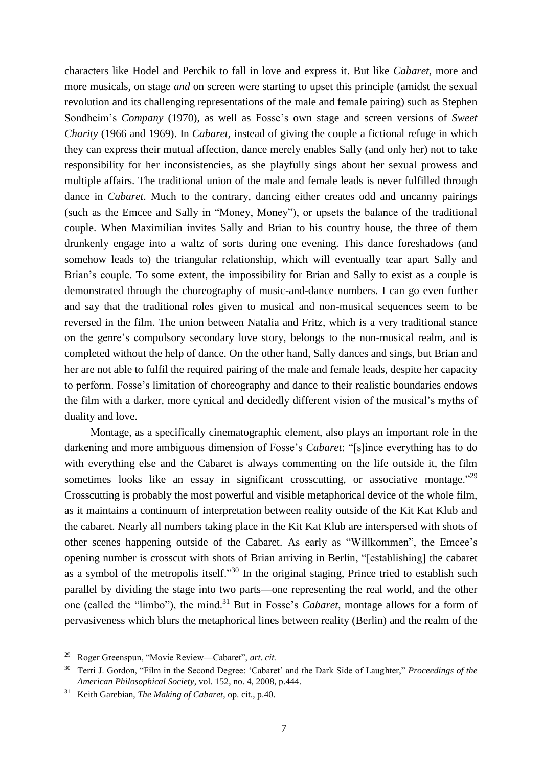characters like Hodel and Perchik to fall in love and express it. But like *Cabaret*, more and more musicals, on stage *and* on screen were starting to upset this principle (amidst the sexual revolution and its challenging representations of the male and female pairing) such as Stephen Sondheim's *Company* (1970), as well as Fosse's own stage and screen versions of *Sweet Charity* (1966 and 1969). In *Cabaret,* instead of giving the couple a fictional refuge in which they can express their mutual affection, dance merely enables Sally (and only her) not to take responsibility for her inconsistencies, as she playfully sings about her sexual prowess and multiple affairs. The traditional union of the male and female leads is never fulfilled through dance in *Cabaret*. Much to the contrary, dancing either creates odd and uncanny pairings (such as the Emcee and Sally in "Money, Money"), or upsets the balance of the traditional couple. When Maximilian invites Sally and Brian to his country house, the three of them drunkenly engage into a waltz of sorts during one evening. This dance foreshadows (and somehow leads to) the triangular relationship, which will eventually tear apart Sally and Brian's couple. To some extent, the impossibility for Brian and Sally to exist as a couple is demonstrated through the choreography of music-and-dance numbers. I can go even further and say that the traditional roles given to musical and non-musical sequences seem to be reversed in the film. The union between Natalia and Fritz, which is a very traditional stance on the genre's compulsory secondary love story, belongs to the non-musical realm, and is completed without the help of dance. On the other hand, Sally dances and sings, but Brian and her are not able to fulfil the required pairing of the male and female leads, despite her capacity to perform. Fosse's limitation of choreography and dance to their realistic boundaries endows the film with a darker, more cynical and decidedly different vision of the musical's myths of duality and love.

Montage, as a specifically cinematographic element, also plays an important role in the darkening and more ambiguous dimension of Fosse's *Cabaret*: "[s]ince everything has to do with everything else and the Cabaret is always commenting on the life outside it, the film sometimes looks like an essay in significant crosscutting, or associative montage.<sup> $29$ </sup> Crosscutting is probably the most powerful and visible metaphorical device of the whole film, as it maintains a continuum of interpretation between reality outside of the Kit Kat Klub and the cabaret. Nearly all numbers taking place in the Kit Kat Klub are interspersed with shots of other scenes happening outside of the Cabaret. As early as "Willkommen", the Emcee's opening number is crosscut with shots of Brian arriving in Berlin, "[establishing] the cabaret as a symbol of the metropolis itself."<sup>30</sup> In the original staging, Prince tried to establish such parallel by dividing the stage into two parts—one representing the real world, and the other one (called the "limbo"), the mind. <sup>31</sup> But in Fosse's *Cabaret*, montage allows for a form of pervasiveness which blurs the metaphorical lines between reality (Berlin) and the realm of the

<sup>29</sup> Roger Greenspun, "Movie Review—Cabaret", *art. cit.*

<sup>30</sup> Terri J. Gordon, "Film in the Second Degree: 'Cabaret' and the Dark Side of Laughter," *Proceedings of the American Philosophical Society*, vol. 152, no. 4, 2008, p.444.

<sup>31</sup> Keith Garebian, *The Making of Cabaret*, op. cit., p.40.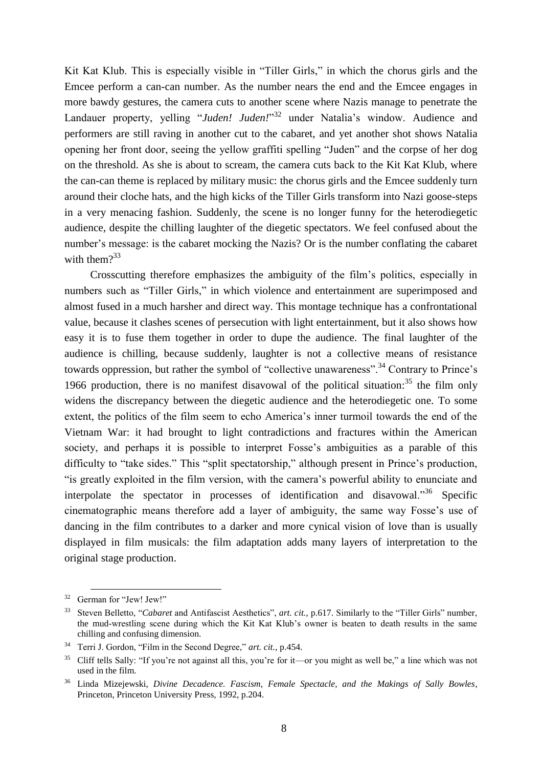Kit Kat Klub. This is especially visible in "Tiller Girls," in which the chorus girls and the Emcee perform a can-can number. As the number nears the end and the Emcee engages in more bawdy gestures, the camera cuts to another scene where Nazis manage to penetrate the Landauer property, yelling "*Juden! Juden!*"<sup>32</sup> under Natalia's window. Audience and performers are still raving in another cut to the cabaret, and yet another shot shows Natalia opening her front door, seeing the yellow graffiti spelling "Juden" and the corpse of her dog on the threshold. As she is about to scream, the camera cuts back to the Kit Kat Klub, where the can-can theme is replaced by military music: the chorus girls and the Emcee suddenly turn around their cloche hats, and the high kicks of the Tiller Girls transform into Nazi goose-steps in a very menacing fashion. Suddenly, the scene is no longer funny for the heterodiegetic audience, despite the chilling laughter of the diegetic spectators. We feel confused about the number's message: is the cabaret mocking the Nazis? Or is the number conflating the cabaret with them $?^{33}$ 

Crosscutting therefore emphasizes the ambiguity of the film's politics, especially in numbers such as "Tiller Girls," in which violence and entertainment are superimposed and almost fused in a much harsher and direct way. This montage technique has a confrontational value, because it clashes scenes of persecution with light entertainment, but it also shows how easy it is to fuse them together in order to dupe the audience. The final laughter of the audience is chilling, because suddenly, laughter is not a collective means of resistance towards oppression, but rather the symbol of "collective unawareness".<sup>34</sup> Contrary to Prince's 1966 production, there is no manifest disavowal of the political situation: $35$  the film only widens the discrepancy between the diegetic audience and the heterodiegetic one. To some extent, the politics of the film seem to echo America's inner turmoil towards the end of the Vietnam War: it had brought to light contradictions and fractures within the American society, and perhaps it is possible to interpret Fosse's ambiguities as a parable of this difficulty to "take sides." This "split spectatorship," although present in Prince's production, "is greatly exploited in the film version, with the camera's powerful ability to enunciate and interpolate the spectator in processes of identification and disavowal.<sup>356</sup> Specific cinematographic means therefore add a layer of ambiguity, the same way Fosse's use of dancing in the film contributes to a darker and more cynical vision of love than is usually displayed in film musicals: the film adaptation adds many layers of interpretation to the original stage production.

<sup>&</sup>lt;sup>32</sup> German for "Jew! Jew!"

<sup>33</sup> Steven Belletto, "*Cabaret* and Antifascist Aesthetics", *art. cit.*, p.617. Similarly to the "Tiller Girls" number, the mud-wrestling scene during which the Kit Kat Klub's owner is beaten to death results in the same chilling and confusing dimension.

<sup>34</sup> Terri J. Gordon, "Film in the Second Degree," *art. cit.*, p.454.

 $35$  Cliff tells Sally: "If you're not against all this, you're for it—or you might as well be," a line which was not used in the film.

<sup>36</sup> Linda Mizejewski, *Divine Decadence. Fascism, Female Spectacle, and the Makings of Sally Bowles*, Princeton, Princeton University Press, 1992, p.204.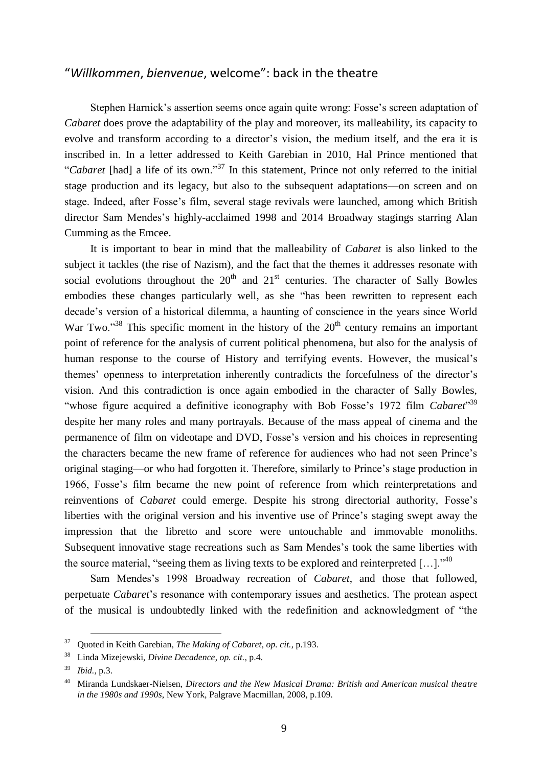## "*Willkommen*, *bienvenue*, welcome": back in the theatre

Stephen Harnick's assertion seems once again quite wrong: Fosse's screen adaptation of *Cabaret* does prove the adaptability of the play and moreover, its malleability, its capacity to evolve and transform according to a director's vision, the medium itself, and the era it is inscribed in. In a letter addressed to Keith Garebian in 2010, Hal Prince mentioned that "*Cabaret* [had] a life of its own."<sup>37</sup> In this statement, Prince not only referred to the initial stage production and its legacy, but also to the subsequent adaptations—on screen and on stage. Indeed, after Fosse's film, several stage revivals were launched, among which British director Sam Mendes's highly-acclaimed 1998 and 2014 Broadway stagings starring Alan Cumming as the Emcee.

It is important to bear in mind that the malleability of *Cabaret* is also linked to the subject it tackles (the rise of Nazism), and the fact that the themes it addresses resonate with social evolutions throughout the  $20<sup>th</sup>$  and  $21<sup>st</sup>$  centuries. The character of Sally Bowles embodies these changes particularly well, as she "has been rewritten to represent each decade's version of a historical dilemma, a haunting of conscience in the years since World War Two."<sup>38</sup> This specific moment in the history of the  $20<sup>th</sup>$  century remains an important point of reference for the analysis of current political phenomena, but also for the analysis of human response to the course of History and terrifying events. However, the musical's themes' openness to interpretation inherently contradicts the forcefulness of the director's vision. And this contradiction is once again embodied in the character of Sally Bowles, "whose figure acquired a definitive iconography with Bob Fosse's 1972 film *Cabaret*"<sup>39</sup> despite her many roles and many portrayals. Because of the mass appeal of cinema and the permanence of film on videotape and DVD, Fosse's version and his choices in representing the characters became the new frame of reference for audiences who had not seen Prince's original staging—or who had forgotten it. Therefore, similarly to Prince's stage production in 1966, Fosse's film became the new point of reference from which reinterpretations and reinventions of *Cabaret* could emerge. Despite his strong directorial authority, Fosse's liberties with the original version and his inventive use of Prince's staging swept away the impression that the libretto and score were untouchable and immovable monoliths. Subsequent innovative stage recreations such as Sam Mendes's took the same liberties with the source material, "seeing them as living texts to be explored and reinterpreted  $[...]$ ."<sup>40</sup>

Sam Mendes's 1998 Broadway recreation of *Cabaret*, and those that followed, perpetuate *Cabaret*'s resonance with contemporary issues and aesthetics. The protean aspect of the musical is undoubtedly linked with the redefinition and acknowledgment of "the

<sup>37</sup> Quoted in Keith Garebian, *The Making of Cabaret*, *op. cit.*, p.193.

<sup>38</sup> Linda Mizejewski, *Divine Decadence*, *op. cit.*, p.4.

<sup>39</sup> *Ibid.,* p.3.

<sup>40</sup> Miranda Lundskaer-Nielsen, *Directors and the New Musical Drama: British and American musical theatre in the 1980s and 1990s*, New York, Palgrave Macmillan, 2008, p.109.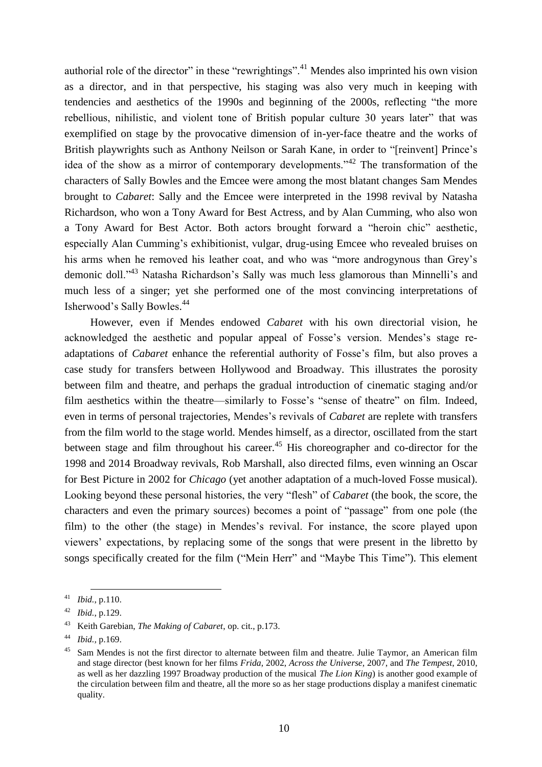authorial role of the director" in these "rewrightings".<sup>41</sup> Mendes also imprinted his own vision as a director, and in that perspective, his staging was also very much in keeping with tendencies and aesthetics of the 1990s and beginning of the 2000s, reflecting "the more rebellious, nihilistic, and violent tone of British popular culture 30 years later" that was exemplified on stage by the provocative dimension of in-yer-face theatre and the works of British playwrights such as Anthony Neilson or Sarah Kane, in order to "[reinvent] Prince's idea of the show as a mirror of contemporary developments."<sup>42</sup> The transformation of the characters of Sally Bowles and the Emcee were among the most blatant changes Sam Mendes brought to *Cabaret*: Sally and the Emcee were interpreted in the 1998 revival by Natasha Richardson, who won a Tony Award for Best Actress, and by Alan Cumming, who also won a Tony Award for Best Actor. Both actors brought forward a "heroin chic" aesthetic, especially Alan Cumming's exhibitionist, vulgar, drug-using Emcee who revealed bruises on his arms when he removed his leather coat, and who was "more androgynous than Grey's demonic doll."<sup>43</sup> Natasha Richardson's Sally was much less glamorous than Minnelli's and much less of a singer; yet she performed one of the most convincing interpretations of Isherwood's Sally Bowles. 44

However, even if Mendes endowed *Cabaret* with his own directorial vision, he acknowledged the aesthetic and popular appeal of Fosse's version. Mendes's stage readaptations of *Cabaret* enhance the referential authority of Fosse's film, but also proves a case study for transfers between Hollywood and Broadway. This illustrates the porosity between film and theatre, and perhaps the gradual introduction of cinematic staging and/or film aesthetics within the theatre—similarly to Fosse's "sense of theatre" on film. Indeed, even in terms of personal trajectories, Mendes's revivals of *Cabaret* are replete with transfers from the film world to the stage world. Mendes himself, as a director, oscillated from the start between stage and film throughout his career.<sup>45</sup> His choreographer and co-director for the 1998 and 2014 Broadway revivals, Rob Marshall, also directed films, even winning an Oscar for Best Picture in 2002 for *Chicago* (yet another adaptation of a much-loved Fosse musical). Looking beyond these personal histories, the very "flesh" of *Cabaret* (the book, the score, the characters and even the primary sources) becomes a point of "passage" from one pole (the film) to the other (the stage) in Mendes's revival. For instance, the score played upon viewers' expectations, by replacing some of the songs that were present in the libretto by songs specifically created for the film ("Mein Herr" and "Maybe This Time"). This element

 $\overline{a}$ <sup>41</sup> *Ibid.*, p.110.

<sup>42</sup> *Ibid.*, p.129.

<sup>43</sup> Keith Garebian, *The Making of Cabaret*, op. cit., p.173.

<sup>44</sup> *Ibid.,* p.169.

<sup>&</sup>lt;sup>45</sup> Sam Mendes is not the first director to alternate between film and theatre. Julie Taymor, an American film and stage director (best known for her films *Frida*, 2002, *Across the Universe*, 2007, and *The Tempest*, 2010, as well as her dazzling 1997 Broadway production of the musical *The Lion King*) is another good example of the circulation between film and theatre, all the more so as her stage productions display a manifest cinematic quality.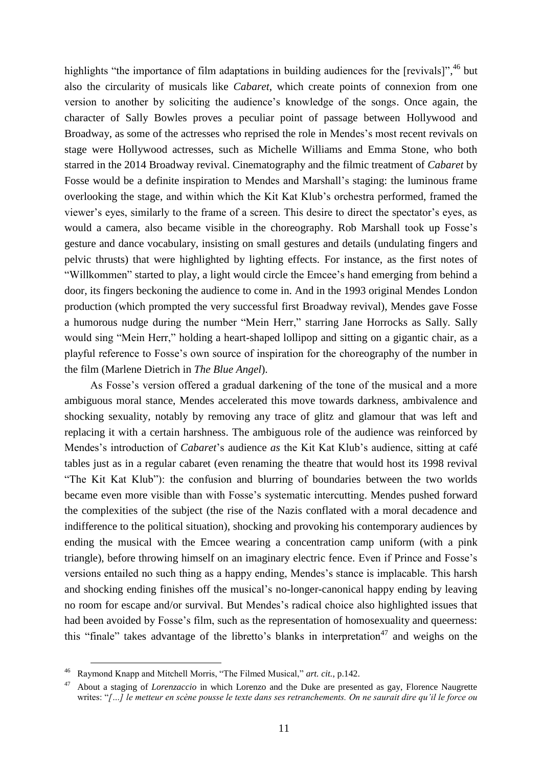highlights "the importance of film adaptations in building audiences for the [revivals]",<sup>46</sup> but also the circularity of musicals like *Cabaret*, which create points of connexion from one version to another by soliciting the audience's knowledge of the songs. Once again, the character of Sally Bowles proves a peculiar point of passage between Hollywood and Broadway, as some of the actresses who reprised the role in Mendes's most recent revivals on stage were Hollywood actresses, such as Michelle Williams and Emma Stone, who both starred in the 2014 Broadway revival. Cinematography and the filmic treatment of *Cabaret* by Fosse would be a definite inspiration to Mendes and Marshall's staging: the luminous frame overlooking the stage, and within which the Kit Kat Klub's orchestra performed, framed the viewer's eyes, similarly to the frame of a screen. This desire to direct the spectator's eyes, as would a camera, also became visible in the choreography. Rob Marshall took up Fosse's gesture and dance vocabulary, insisting on small gestures and details (undulating fingers and pelvic thrusts) that were highlighted by lighting effects. For instance, as the first notes of "Willkommen" started to play, a light would circle the Emcee's hand emerging from behind a door, its fingers beckoning the audience to come in. And in the 1993 original Mendes London production (which prompted the very successful first Broadway revival), Mendes gave Fosse a humorous nudge during the number "Mein Herr," starring Jane Horrocks as Sally. Sally would sing "Mein Herr," holding a heart-shaped lollipop and sitting on a gigantic chair, as a playful reference to Fosse's own source of inspiration for the choreography of the number in the film (Marlene Dietrich in *The Blue Angel*).

As Fosse's version offered a gradual darkening of the tone of the musical and a more ambiguous moral stance, Mendes accelerated this move towards darkness, ambivalence and shocking sexuality, notably by removing any trace of glitz and glamour that was left and replacing it with a certain harshness. The ambiguous role of the audience was reinforced by Mendes's introduction of *Cabaret*'s audience *as* the Kit Kat Klub's audience, sitting at café tables just as in a regular cabaret (even renaming the theatre that would host its 1998 revival "The Kit Kat Klub"): the confusion and blurring of boundaries between the two worlds became even more visible than with Fosse's systematic intercutting. Mendes pushed forward the complexities of the subject (the rise of the Nazis conflated with a moral decadence and indifference to the political situation), shocking and provoking his contemporary audiences by ending the musical with the Emcee wearing a concentration camp uniform (with a pink triangle), before throwing himself on an imaginary electric fence. Even if Prince and Fosse's versions entailed no such thing as a happy ending, Mendes's stance is implacable. This harsh and shocking ending finishes off the musical's no-longer-canonical happy ending by leaving no room for escape and/or survival. But Mendes's radical choice also highlighted issues that had been avoided by Fosse's film, such as the representation of homosexuality and queerness: this "finale" takes advantage of the libretto's blanks in interpretation<sup>47</sup> and weighs on the

<sup>46</sup> Raymond Knapp and Mitchell Morris, "The Filmed Musical," *art. cit.*, p.142.

<sup>47</sup> About a staging of *Lorenzaccio* in which Lorenzo and the Duke are presented as gay, Florence Naugrette writes: "*[…] le metteur en scène pousse le texte dans ses retranchements. On ne saurait dire qu'il le force ou*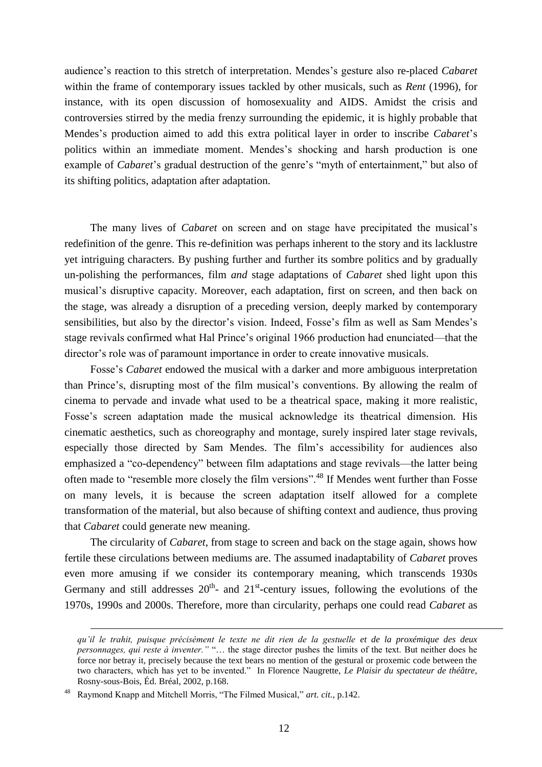audience's reaction to this stretch of interpretation. Mendes's gesture also re-placed *Cabaret* within the frame of contemporary issues tackled by other musicals, such as *Rent* (1996), for instance, with its open discussion of homosexuality and AIDS. Amidst the crisis and controversies stirred by the media frenzy surrounding the epidemic, it is highly probable that Mendes's production aimed to add this extra political layer in order to inscribe *Cabaret*'s politics within an immediate moment. Mendes's shocking and harsh production is one example of *Cabaret*'s gradual destruction of the genre's "myth of entertainment," but also of its shifting politics, adaptation after adaptation.

The many lives of *Cabaret* on screen and on stage have precipitated the musical's redefinition of the genre. This re-definition was perhaps inherent to the story and its lacklustre yet intriguing characters. By pushing further and further its sombre politics and by gradually un-polishing the performances, film *and* stage adaptations of *Cabaret* shed light upon this musical's disruptive capacity. Moreover, each adaptation, first on screen, and then back on the stage, was already a disruption of a preceding version, deeply marked by contemporary sensibilities, but also by the director's vision. Indeed, Fosse's film as well as Sam Mendes's stage revivals confirmed what Hal Prince's original 1966 production had enunciated—that the director's role was of paramount importance in order to create innovative musicals.

Fosse's *Cabaret* endowed the musical with a darker and more ambiguous interpretation than Prince's, disrupting most of the film musical's conventions. By allowing the realm of cinema to pervade and invade what used to be a theatrical space, making it more realistic, Fosse's screen adaptation made the musical acknowledge its theatrical dimension. His cinematic aesthetics, such as choreography and montage, surely inspired later stage revivals, especially those directed by Sam Mendes. The film's accessibility for audiences also emphasized a "co-dependency" between film adaptations and stage revivals—the latter being often made to "resemble more closely the film versions".<sup>48</sup> If Mendes went further than Fosse on many levels, it is because the screen adaptation itself allowed for a complete transformation of the material, but also because of shifting context and audience, thus proving that *Cabaret* could generate new meaning.

The circularity of *Cabaret*, from stage to screen and back on the stage again, shows how fertile these circulations between mediums are. The assumed inadaptability of *Cabaret* proves even more amusing if we consider its contemporary meaning, which transcends 1930s Germany and still addresses  $20<sup>th</sup>$  and  $21<sup>st</sup>$ -century issues, following the evolutions of the 1970s, 1990s and 2000s. Therefore, more than circularity, perhaps one could read *Cabaret* as

*qu'il le trahit, puisque précisément le texte ne dit rien de la gestuelle et de la proxémique des deux personnages, qui reste à inventer."* "… the stage director pushes the limits of the text. But neither does he force nor betray it, precisely because the text bears no mention of the gestural or proxemic code between the two characters, which has yet to be invented." In Florence Naugrette, *Le Plaisir du spectateur de théâtre,*  Rosny-sous-Bois, Éd. Bréal, 2002, p.168.

<sup>48</sup> Raymond Knapp and Mitchell Morris, "The Filmed Musical," *art. cit.*, p.142.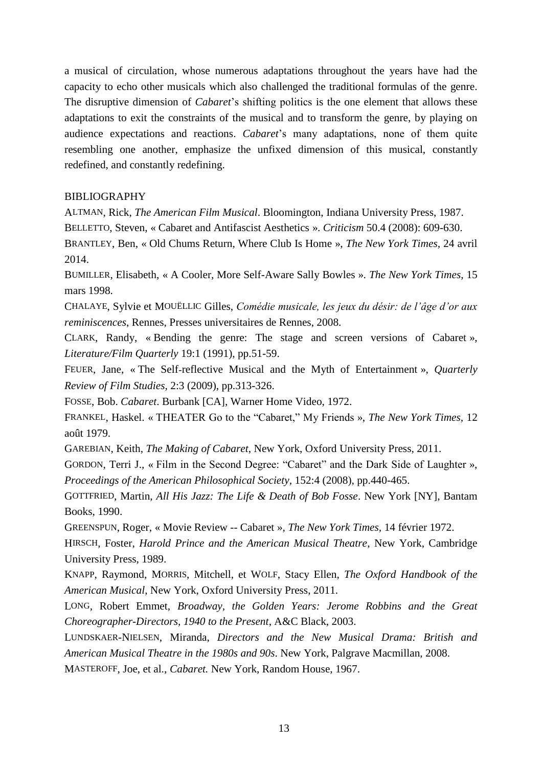a musical of circulation, whose numerous adaptations throughout the years have had the capacity to echo other musicals which also challenged the traditional formulas of the genre. The disruptive dimension of *Cabaret*'s shifting politics is the one element that allows these adaptations to exit the constraints of the musical and to transform the genre, by playing on audience expectations and reactions. *Cabaret*'s many adaptations, none of them quite resembling one another, emphasize the unfixed dimension of this musical, constantly redefined, and constantly redefining.

## BIBLIOGRAPHY

ALTMAN, Rick, *The American Film Musical*. Bloomington, Indiana University Press, 1987.

BELLETTO, Steven, « Cabaret and Antifascist Aesthetics ». *Criticism* 50.4 (2008): 609-630.

BRANTLEY, Ben, « Old Chums Return, Where Club Is Home », *The New York Times,* 24 avril 2014.

BUMILLER, Elisabeth, « A Cooler, More Self-Aware Sally Bowles ». *The New York Times*, 15 mars 1998.

CHALAYE, Sylvie et MOUËLLIC Gilles, *Comédie musicale, les jeux du désir: de l'âge d'or aux reminiscences*, Rennes, Presses universitaires de Rennes, 2008.

CLARK, Randy, « Bending the genre: The stage and screen versions of Cabaret », *Literature/Film Quarterly* 19:1 (1991), pp.51-59.

FEUER, Jane, « The Self-reflective Musical and the Myth of Entertainment », *Quarterly Review of Film Studies,* 2:3 (2009), pp.313-326.

FOSSE, Bob. *Cabaret*. Burbank [CA], Warner Home Video, 1972.

FRANKEL, Haskel. « THEATER Go to the "Cabaret," My Friends », *The New York Times,* 12 août 1979.

GAREBIAN, Keith, *The Making of Cabaret*, New York, Oxford University Press, 2011.

GORDON, Terri J., « Film in the Second Degree: "Cabaret" and the Dark Side of Laughter », *Proceedings of the American Philosophical Society,* 152:4 (2008), pp.440-465.

GOTTFRIED, Martin, *All His Jazz: The Life & Death of Bob Fosse*. New York [NY], Bantam Books, 1990.

GREENSPUN, Roger, « Movie Review -- Cabaret », *The New York Times,* 14 février 1972.

HIRSCH, Foster, *Harold Prince and the American Musical Theatre*, New York, Cambridge University Press, 1989.

KNAPP, Raymond, MORRIS, Mitchell, et WOLF, Stacy Ellen, *The Oxford Handbook of the American Musical*, New York, Oxford University Press, 2011.

LONG, Robert Emmet, *Broadway, the Golden Years: Jerome Robbins and the Great Choreographer-Directors, 1940 to the Present*, A&C Black, 2003.

LUNDSKAER-NIELSEN, Miranda, *Directors and the New Musical Drama: British and American Musical Theatre in the 1980s and 90s*. New York, Palgrave Macmillan, 2008. MASTEROFF, Joe, et al., *Cabaret.* New York, Random House, 1967.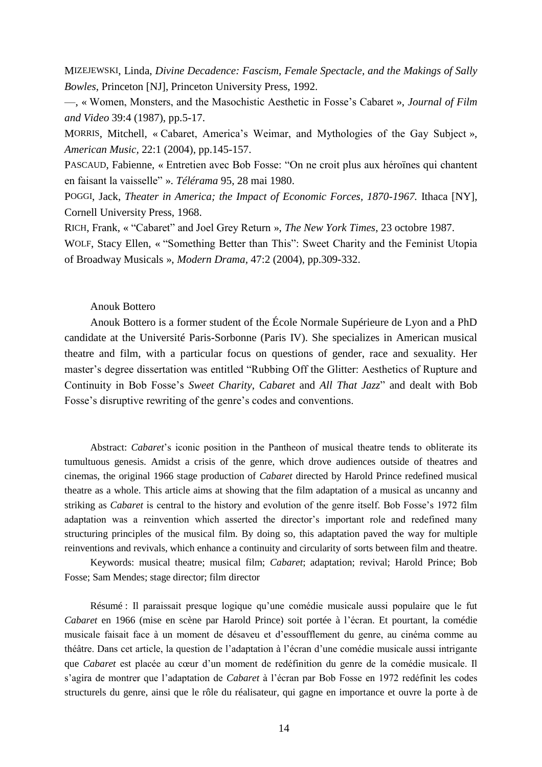MIZEJEWSKI, Linda, *Divine Decadence: Fascism, Female Spectacle, and the Makings of Sally Bowles*, Princeton [NJ], Princeton University Press, 1992.

—, « Women, Monsters, and the Masochistic Aesthetic in Fosse's Cabaret », *Journal of Film and Video* 39:4 (1987), pp.5-17.

MORRIS, Mitchell, « Cabaret, America's Weimar, and Mythologies of the Gay Subject », *American Music,* 22:1 (2004), pp.145-157.

PASCAUD, Fabienne, « Entretien avec Bob Fosse: "On ne croit plus aux héroïnes qui chantent en faisant la vaisselle" ». *Télérama* 95, 28 mai 1980.

POGGI, Jack, *Theater in America; the Impact of Economic Forces, 1870-1967.* Ithaca [NY], Cornell University Press, 1968.

RICH, Frank, « "Cabaret" and Joel Grey Return », *The New York Times*, 23 octobre 1987.

WOLF, Stacy Ellen, « "Something Better than This": Sweet Charity and the Feminist Utopia of Broadway Musicals », *Modern Drama,* 47:2 (2004), pp.309-332.

### Anouk Bottero

Anouk Bottero is a former student of the École Normale Supérieure de Lyon and a PhD candidate at the Université Paris-Sorbonne (Paris IV). She specializes in American musical theatre and film, with a particular focus on questions of gender, race and sexuality. Her master's degree dissertation was entitled "Rubbing Off the Glitter: Aesthetics of Rupture and Continuity in Bob Fosse's *Sweet Charity*, *Cabaret* and *All That Jazz*" and dealt with Bob Fosse's disruptive rewriting of the genre's codes and conventions.

Abstract: *Cabaret*'s iconic position in the Pantheon of musical theatre tends to obliterate its tumultuous genesis. Amidst a crisis of the genre, which drove audiences outside of theatres and cinemas, the original 1966 stage production of *Cabaret* directed by Harold Prince redefined musical theatre as a whole. This article aims at showing that the film adaptation of a musical as uncanny and striking as *Cabaret* is central to the history and evolution of the genre itself. Bob Fosse's 1972 film adaptation was a reinvention which asserted the director's important role and redefined many structuring principles of the musical film. By doing so, this adaptation paved the way for multiple reinventions and revivals, which enhance a continuity and circularity of sorts between film and theatre.

Keywords: musical theatre; musical film; *Cabaret*; adaptation; revival; Harold Prince; Bob Fosse; Sam Mendes; stage director; film director

Résumé : Il paraissait presque logique qu'une comédie musicale aussi populaire que le fut *Cabaret* en 1966 (mise en scène par Harold Prince) soit portée à l'écran. Et pourtant, la comédie musicale faisait face à un moment de désaveu et d'essoufflement du genre, au cinéma comme au théâtre. Dans cet article, la question de l'adaptation à l'écran d'une comédie musicale aussi intrigante que *Cabaret* est placée au cœur d'un moment de redéfinition du genre de la comédie musicale. Il s'agira de montrer que l'adaptation de *Cabaret* à l'écran par Bob Fosse en 1972 redéfinit les codes structurels du genre, ainsi que le rôle du réalisateur, qui gagne en importance et ouvre la porte à de